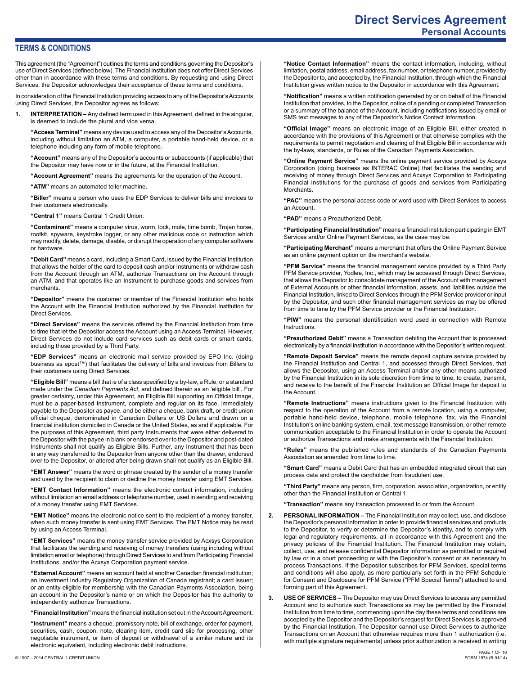# **Direct Services Agreement Personal Accounts**

### **TERMS & CONDITIONS**

This agreement (the "Agreement") outlines the terms and conditions governing the Depositor's use of Direct Services (defined below). The Financial Institution does not offer Direct Services other than in accordance with these terms and conditions. By requesting and using Direct Services, the Depositor acknowledges their acceptance of these terms and conditions.

In consideration of the Financial Institution providing access to any of the Depositor's Accounts using Direct Services, the Depositor agrees as follows:

**1. INTERPRETATION –** Any defined term used in this Agreement, defined in the singular, is deemed to include the plural and vice versa.

**"Access Terminal"** means any device used to access any of the Depositor's Accounts, including without limitation an ATM, a computer, a portable hand-held device, or a telephone including any form of mobile telephone.

**"Account"** means any of the Depositor's accounts or subaccounts (if applicable) that the Depositor may have now or in the future, at the Financial Institution.

**"Account Agreement"** means the agreements for the operation of the Account.

**"ATM"** means an automated teller machine.

**"Biller"** means a person who uses the EDP Services to deliver bills and invoices to their customers electronically.

**"Central 1"** means Central 1 Credit Union.

**"Contaminant"** means a computer virus, worm, lock, mole, time bomb, Trojan horse, rootkit, spyware, keystroke logger, or any other malicious code or instruction which may modify, delete, damage, disable, or disrupt the operation of any computer software or hardware.

**"Debit Card"** means a card, including a Smart Card, issued by the Financial Institution that allows the holder of the card to deposit cash and/or Instruments or withdraw cash from the Account through an ATM, authorize Transactions on the Account through an ATM, and that operates like an Instrument to purchase goods and services from **merchants** 

**"Depositor"** means the customer or member of the Financial Institution who holds the Account with the Financial Institution authorized by the Financial Institution for Direct Services.

**"Direct Services"** means the services offered by the Financial Institution from time to time that let the Depositor access the Account using an Access Terminal. However, Direct Services do not include card services such as debit cards or smart cards, including those provided by a Third Party.

**"EDP Services"** means an electronic mail service provided by EPO Inc. (doing business as epost™) that facilitates the delivery of bills and invoices from Billers to their customers using Direct Services.

**"Eligible Bill"** means a bill that is of a class specified by a by-law, a Rule, or a standard made under the *Canadian Payments Act*, and defined therein as an 'eligible bill'. For greater certainty, under this Agreement, an Eligible Bill supporting an Official Image, must be a paper-based Instrument, complete and regular on its face, immediately payable to the Depositor as payee, and be either a cheque, bank draft, or credit union official cheque, denominated in Canadian Dollars or US Dollars and drawn on a financial institution domiciled in Canada or the United States, as and if applicable. For the purposes of this Agreement, third party Instruments that were either delivered to the Depositor with the payee in blank or endorsed over to the Depositor and post-dated Instruments shall not qualify as Eligible Bills. Further, any Instrument that has been in any way transferred to the Depositor from anyone other than the drawer, endorsed over to the Depositor, or altered after being drawn shall not qualify as an Eligible Bill.

**"EMT Answer"** means the word or phrase created by the sender of a money transfer and used by the recipient to claim or decline the money transfer using EMT Services.

**"EMT Contact Information"** means the electronic contact information, including without limitation an email address or telephone number, used in sending and receiving of a money transfer using EMT Services.

**"EMT Notice"** means the electronic notice sent to the recipient of a money transfer, when such money transfer is sent using EMT Services. The EMT Notice may be read by using an Access Terminal.

**"EMT Services"** means the money transfer service provided by Acxsys Corporation that facilitates the sending and receiving of money transfers (using including without limitation email or telephone) through Direct Services to and from Participating Financial Institutions, and/or the Acxsys Corporation payment service.

**"External Account"** means an account held at another Canadian financial institution; an Investment Industry Regulatory Organization of Canada registrant; a card issuer; or an entity eligible for membership with the Canadian Payments Association, being an account in the Depositor's name or on which the Depositor has the authority to independently authorize Transactions.

**"Financial Institution"** means the financial institution set out in the Account Agreement.

**"Instrument"** means a cheque, promissory note, bill of exchange, order for payment, securities, cash, coupon, note, clearing item, credit card slip for processing, other negotiable instrument, or item of deposit or withdrawal of a similar nature and its electronic equivalent, including electronic debit instructions.

**"Notification"** means a written notification generated by or on behalf of the Financial Institution that provides, to the Depositor, notice of a pending or completed Transaction or a summary of the balance of the Account, including notifications issued by email or SMS text messages to any of the Depositor's Notice Contact Information.

**"Official Image"** means an electronic image of an Eligible Bill, either created in accordance with the provisions of this Agreement or that otherwise complies with the requirements to permit negotiation and clearing of that Eligible Bill in accordance with the by-laws, standards, or Rules of the Canadian Payments Association.

**"Online Payment Service"** means the online payment service provided by Acxsys Corporation (doing business as INTERAC Online) that facilitates the sending and receiving of money through Direct Services and Acxsys Corporation to Participating Financial Institutions for the purchase of goods and services from Participating Merchants.

**"PAC"** means the personal access code or word used with Direct Services to access an Account.

**"PAD"** means a Preauthorized Debit.

**"Participating Financial Institution"** means a financial institution participating in EMT Services and/or Online Payment Services, as the case may be.

**"Participating Merchant"** means a merchant that offers the Online Payment Service as an online payment option on the merchant's website.

**"PFM Service"** means the financial management service provided by a Third Party PFM Service provider, Yodlee, Inc., which may be accessed through Direct Services, that allows the Depositor to consolidate management of the Account with management of External Accounts or other financial information, assets, and liabilities outside the Financial Institution, linked to Direct Services through the PFM Service provider or input by the Depositor, and such other financial management services as may be offered from time to time by the PFM Service provider or the Financial Institution.

**"PIW"** means the personal identification word used in connection with Remote **Instructions** 

**"Preauthorized Debit"** means a Transaction debiting the Account that is processed electronically by a financial institution in accordance with the Depositor's written request.

**"Remote Deposit Service"** means the remote deposit capture service provided by the Financial Institution and Central 1, and accessed through Direct Services, that allows the Depositor, using an Access Terminal and/or any other means authorized by the Financial Institution in its sole discretion from time to time, to create, transmit, and receive to the benefit of the Financial Institution an Official Image for deposit to the Account.

**"Remote Instructions"** means instructions given to the Financial Institution with respect to the operation of the Account from a remote location, using a computer, portable hand-held device, telephone, mobile telephone, fax, via the Financial Institution's online banking system, email, text message transmission, or other remote communication acceptable to the Financial Institution in order to operate the Account or authorize Transactions and make arrangements with the Financial Institution.

**"Rules"** means the published rules and standards of the Canadian Payments Association as amended from time to time.

**"Smart Card"** means a Debit Card that has an embedded integrated circuit that can process data and protect the cardholder from fraudulent use.

**"Third Party"** means any person, firm, corporation, association, organization, or entity other than the Financial Institution or Central 1.

**"Transaction"** means any transaction processed to or from the Account.

- **2. PERSONAL INFORMATION** The Financial Institution may collect, use, and disclose the Depositor's personal information in order to provide financial services and products to the Depositor, to verify or determine the Depositor's identity, and to comply with legal and regulatory requirements, all in accordance with this Agreement and the privacy policies of the Financial Institution. The Financial Institution may obtain, collect, use, and release confidential Depositor information as permitted or required by law or in a court proceeding or with the Depositor's consent or as necessary to process Transactions. If the Depositor subscribes for PFM Services, special terms and conditions will also apply, as more particularly set forth in the PFM Schedule for Consent and Disclosure for PFM Service ("PFM Special Terms") attached to and forming part of this Agreement.
- **3. USE OF SERVICES** The Depositor may use Direct Services to access any permitted Account and to authorize such Transactions as may be permitted by the Financial Institution from time to time, commencing upon the day these terms and conditions are accepted by the Depositor and the Depositor's request for Direct Services is approved by the Financial Institution. The Depositor cannot use Direct Services to authorize Transactions on an Account that otherwise requires more than 1 authorization (i.e. with multiple signature requirements) unless prior authorization is received in writing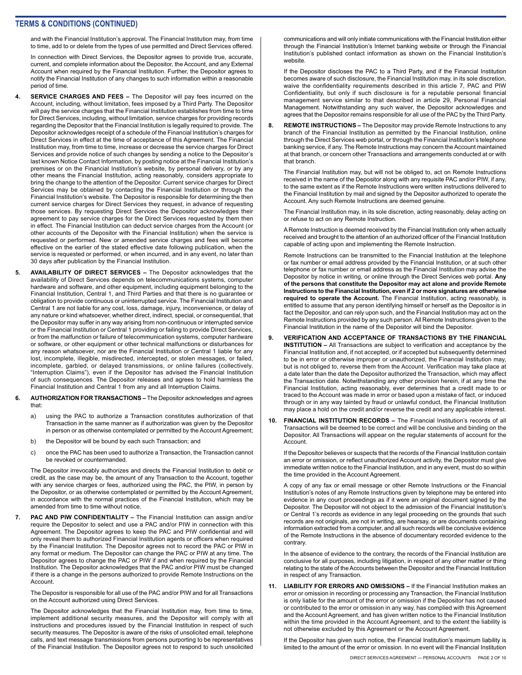and with the Financial Institution's approval. The Financial Institution may, from time to time, add to or delete from the types of use permitted and Direct Services offered.

In connection with Direct Services, the Depositor agrees to provide true, accurate, current, and complete information about the Depositor, the Account, and any External Account when required by the Financial Institution. Further, the Depositor agrees to notify the Financial Institution of any changes to such information within a reasonable period of time.

- **4. SERVICE CHARGES AND FEES** The Depositor will pay fees incurred on the Account, including, without limitation, fees imposed by a Third Party. The Depositor will pay the service charges that the Financial Institution establishes from time to time for Direct Services, including, without limitation, service charges for providing records regarding the Depositor that the Financial Institution is legally required to provide. The Depositor acknowledges receipt of a schedule of the Financial Institution's charges for Direct Services in effect at the time of acceptance of this Agreement. The Financial Institution may, from time to time, increase or decrease the service charges for Direct Services and provide notice of such changes by sending a notice to the Depositor's last known Notice Contact Information, by posting notice at the Financial Institution's premises or on the Financial Institution's website, by personal delivery, or by any other means the Financial Institution, acting reasonably, considers appropriate to bring the change to the attention of the Depositor. Current service charges for Direct Services may be obtained by contacting the Financial Institution or through the Financial Institution's website. The Depositor is responsible for determining the then current service charges for Direct Services they request, in advance of requesting those services. By requesting Direct Services the Depositor acknowledges their agreement to pay service charges for the Direct Services requested by them then in effect. The Financial Institution can deduct service charges from the Account (or other accounts of the Depositor with the Financial Institution) when the service is requested or performed. New or amended service charges and fees will become effective on the earlier of the stated effective date following publication, when the service is requested or performed, or when incurred, and in any event, no later than 30 days after publication by the Financial Institution.
- **5. AVAILABILITY OF DIRECT SERVICES** The Depositor acknowledges that the availability of Direct Services depends on telecommunications systems, computer hardware and software, and other equipment, including equipment belonging to the Financial Institution, Central 1, and Third Parties and that there is no guarantee or obligation to provide continuous or uninterrupted service. The Financial Institution and Central 1 are not liable for any cost, loss, damage, injury, inconvenience, or delay of any nature or kind whatsoever, whether direct, indirect, special, or consequential, that the Depositor may suffer in any way arising from non-continuous or interrupted service or the Financial Institution or Central 1 providing or failing to provide Direct Services, or from the malfunction or failure of telecommunication systems, computer hardware or software, or other equipment or other technical malfunctions or disturbances for any reason whatsoever, nor are the Financial Institution or Central 1 liable for any lost, incomplete, illegible, misdirected, intercepted, or stolen messages, or failed, incomplete, garbled, or delayed transmissions, or online failures (collectively, "Interruption Claims"), even if the Depositor has advised the Financial Institution of such consequences. The Depositor releases and agrees to hold harmless the Financial Institution and Central 1 from any and all Interruption Claims.
- **6. AUTHORIZATION FOR TRANSACTIONS** The Depositor acknowledges and agrees that:
	- a) using the PAC to authorize a Transaction constitutes authorization of that Transaction in the same manner as if authorization was given by the Depositor in person or as otherwise contemplated or permitted by the Account Agreement;
	- b) the Depositor will be bound by each such Transaction; and
	- c) once the PAC has been used to authorize a Transaction, the Transaction cannot be revoked or countermanded.

The Depositor irrevocably authorizes and directs the Financial Institution to debit or credit, as the case may be, the amount of any Transaction to the Account, together with any service charges or fees, authorized using the PAC, the PIW, in person by the Depositor, or as otherwise contemplated or permitted by the Account Agreement, in accordance with the normal practices of the Financial Institution, which may be amended from time to time without notice.

**PAC AND PIW CONFIDENTIALITY – The Financial Institution can assign and/or** require the Depositor to select and use a PAC and/or PIW in connection with this Agreement. The Depositor agrees to keep the PAC and PIW confidential and will only reveal them to authorized Financial Institution agents or officers when required by the Financial Institution. The Depositor agrees not to record the PAC or PIW in any format or medium. The Depositor can change the PAC or PIW at any time. The Depositor agrees to change the PAC or PIW if and when required by the Financial Institution. The Depositor acknowledges that the PAC and/or PIW must be changed if there is a change in the persons authorized to provide Remote Instructions on the Account.

The Depositor is responsible for all use of the PAC and/or PIW and for all Transactions on the Account authorized using Direct Services.

The Depositor acknowledges that the Financial Institution may, from time to time, implement additional security measures, and the Depositor will comply with all instructions and procedures issued by the Financial Institution in respect of such security measures. The Depositor is aware of the risks of unsolicited email, telephone calls, and text message transmissions from persons purporting to be representatives of the Financial Institution. The Depositor agrees not to respond to such unsolicited

communications and will only initiate communications with the Financial Institution either through the Financial Institution's Internet banking website or through the Financial Institution's published contact information as shown on the Financial Institution's website.

If the Depositor discloses the PAC to a Third Party, and if the Financial Institution becomes aware of such disclosure, the Financial Institution may, in its sole discretion, waive the confidentiality requirements described in this article 7, PAC and PIW Confidentiality, but only if such disclosure is for a reputable personal financial management service similar to that described in article 29, Personal Financial Management. Notwithstanding any such waiver, the Depositor acknowledges and agrees that the Depositor remains responsible for all use of the PAC by the Third Party.

**8. REMOTE INSTRUCTIONS –** The Depositor may provide Remote Instructions to any branch of the Financial Institution as permitted by the Financial Institution, online through the Direct Services web portal, or through the Financial Institution's telephone banking service, if any. The Remote Instructions may concern the Account maintained at that branch, or concern other Transactions and arrangements conducted at or with that branch.

The Financial Institution may, but will not be obliged to, act on Remote Instructions received in the name of the Depositor along with any requisite PAC and/or PIW, if any, to the same extent as if the Remote Instructions were written instructions delivered to the Financial Institution by mail and signed by the Depositor authorized to operate the Account. Any such Remote Instructions are deemed genuine.

The Financial Institution may, in its sole discretion, acting reasonably, delay acting on or refuse to act on any Remote Instruction.

A Remote Instruction is deemed received by the Financial Institution only when actually received and brought to the attention of an authorized officer of the Financial Institution capable of acting upon and implementing the Remote Instruction.

Remote Instructions can be transmitted to the Financial Institution at the telephone or fax number or email address provided by the Financial Institution, or at such other telephone or fax number or email address as the Financial Institution may advise the Depositor by notice in writing, or online through the Direct Services web portal. **Any of the persons that constitute the Depositor may act alone and provide Remote Instructions to the Financial Institution, even if 2 or more signatures are otherwise required to operate the Account.** The Financial Institution, acting reasonably, is entitled to assume that any person identifying himself or herself as the Depositor is in fact the Depositor, and can rely upon such, and the Financial Institution may act on the Remote Instructions provided by any such person. All Remote Instructions given to the Financial Institution in the name of the Depositor will bind the Depositor.

- **9. VERIFICATION AND ACCEPTANCE OF TRANSACTIONS BY THE FINANCIAL INSTITUTION –** All Transactions are subject to verification and acceptance by the Financial Institution and, if not accepted, or if accepted but subsequently determined to be in error or otherwise improper or unauthorized, the Financial Institution may, but is not obliged to, reverse them from the Account. Verification may take place at a date later than the date the Depositor authorized the Transaction, which may affect the Transaction date. Notwithstanding any other provision herein, if at any time the Financial Institution, acting reasonably, ever determines that a credit made to or traced to the Account was made in error or based upon a mistake of fact, or induced through or in any way tainted by fraud or unlawful conduct, the Financial Institution may place a hold on the credit and/or reverse the credit and any applicable interest.
- **10. FINANCIAL INSTITUTION RECORDS** The Financial Institution's records of all Transactions will be deemed to be correct and will be conclusive and binding on the Depositor. All Transactions will appear on the regular statements of account for the Account.

If the Depositor believes or suspects that the records of the Financial Institution contain an error or omission, or reflect unauthorized Account activity, the Depositor must give immediate written notice to the Financial Institution, and in any event, must do so within the time provided in the Account Agreement.

A copy of any fax or email message or other Remote Instructions or the Financial Institution's notes of any Remote Instructions given by telephone may be entered into evidence in any court proceedings as if it were an original document signed by the Depositor. The Depositor will not object to the admission of the Financial Institution's or Central 1's records as evidence in any legal proceeding on the grounds that such records are not originals, are not in writing, are hearsay, or are documents containing information extracted from a computer, and all such records will be conclusive evidence of the Remote Instructions in the absence of documentary recorded evidence to the contrary.

In the absence of evidence to the contrary, the records of the Financial Institution are conclusive for all purposes, including litigation, in respect of any other matter or thing relating to the state of the Accounts between the Depositor and the Financial Institution in respect of any Transaction.

**11. LIABILITY FOR ERRORS AND OMISSIONS –** If the Financial Institution makes an error or omission in recording or processing any Transaction, the Financial Institution is only liable for the amount of the error or omission if the Depositor has not caused or contributed to the error or omission in any way, has complied with this Agreement and the Account Agreement, and has given written notice to the Financial Institution within the time provided in the Account Agreement, and to the extent the liability is not otherwise excluded by this Agreement or the Account Agreement.

If the Depositor has given such notice, the Financial Institution's maximum liability is limited to the amount of the error or omission. In no event will the Financial Institution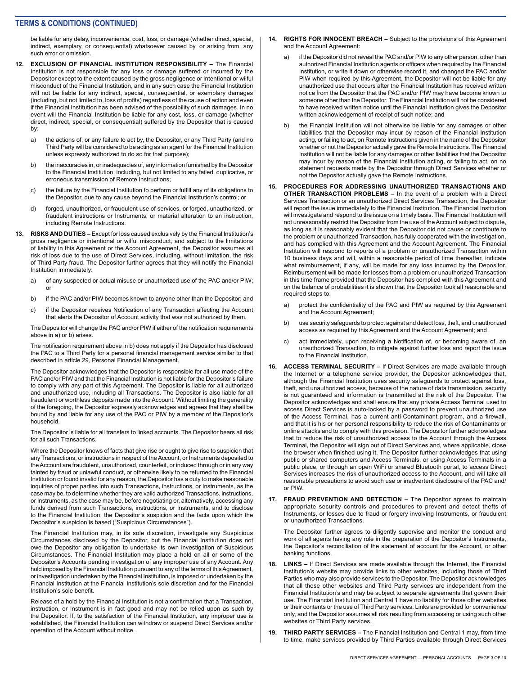be liable for any delay, inconvenience, cost, loss, or damage (whether direct, special, indirect, exemplary, or consequential) whatsoever caused by, or arising from, any such error or omission.

- **12. EXCLUSION OF FINANCIAL INSTITUTION RESPONSIBILITY** The Financial Institution is not responsible for any loss or damage suffered or incurred by the Depositor except to the extent caused by the gross negligence or intentional or wilful misconduct of the Financial Institution, and in any such case the Financial Institution will not be liable for any indirect, special, consequential, or exemplary damages (including, but not limited to, loss of profits) regardless of the cause of action and even if the Financial Institution has been advised of the possibility of such damages. In no event will the Financial Institution be liable for any cost, loss, or damage (whether direct, indirect, special, or consequential) suffered by the Depositor that is caused by:
	- a) the actions of, or any failure to act by, the Depositor, or any Third Party (and no Third Party will be considered to be acting as an agent for the Financial Institution unless expressly authorized to do so for that purpose);
	- b) the inaccuracies in, or inadequacies of, any information furnished by the Depositor to the Financial Institution, including, but not limited to any failed, duplicative, or erroneous transmission of Remote Instructions;
	- c) the failure by the Financial Institution to perform or fulfill any of its obligations to the Depositor, due to any cause beyond the Financial Institution's control; or
	- d) forged, unauthorized, or fraudulent use of services, or forged, unauthorized, or fraudulent instructions or Instruments, or material alteration to an instruction, including Remote Instructions.
- **13. RISKS AND DUTIES** Except for loss caused exclusively by the Financial Institution's gross negligence or intentional or wilful misconduct, and subject to the limitations of liability in this Agreement or the Account Agreement, the Depositor assumes all risk of loss due to the use of Direct Services, including, without limitation, the risk of Third Party fraud. The Depositor further agrees that they will notify the Financial Institution immediately:
	- a) of any suspected or actual misuse or unauthorized use of the PAC and/or PIW; or
	- b) if the PAC and/or PIW becomes known to anyone other than the Depositor; and
	- c) if the Depositor receives Notification of any Transaction affecting the Account that alerts the Depositor of Account activity that was not authorized by them.

The Depositor will change the PAC and/or PIW if either of the notification requirements above in a) or b) arises.

The notification requirement above in b) does not apply if the Depositor has disclosed the PAC to a Third Party for a personal financial management service similar to that described in article 29, Personal Financial Management.

The Depositor acknowledges that the Depositor is responsible for all use made of the PAC and/or PIW and that the Financial Institution is not liable for the Depositor's failure to comply with any part of this Agreement. The Depositor is liable for all authorized and unauthorized use, including all Transactions. The Depositor is also liable for all fraudulent or worthless deposits made into the Account. Without limiting the generality of the foregoing, the Depositor expressly acknowledges and agrees that they shall be bound by and liable for any use of the PAC or PIW by a member of the Depositor's household.

The Depositor is liable for all transfers to linked accounts. The Depositor bears all risk for all such Transactions.

Where the Depositor knows of facts that give rise or ought to give rise to suspicion that any Transactions, or instructions in respect of the Account, or Instruments deposited to the Account are fraudulent, unauthorized, counterfeit, or induced through or in any way tainted by fraud or unlawful conduct, or otherwise likely to be returned to the Financial Institution or found invalid for any reason, the Depositor has a duty to make reasonable inquiries of proper parties into such Transactions, instructions, or Instruments, as the case may be, to determine whether they are valid authorized Transactions, instructions, or Instruments, as the case may be, before negotiating or, alternatively, accessing any funds derived from such Transactions, instructions, or Instruments, and to disclose to the Financial Institution, the Depositor's suspicion and the facts upon which the Depositor's suspicion is based ("Suspicious Circumstances").

The Financial Institution may, in its sole discretion, investigate any Suspicious Circumstances disclosed by the Depositor, but the Financial Institution does not owe the Depositor any obligation to undertake its own investigation of Suspicious Circumstances. The Financial Institution may place a hold on all or some of the Depositor's Accounts pending investigation of any improper use of any Account. Any hold imposed by the Financial Institution pursuant to any of the terms of this Agreement, or investigation undertaken by the Financial Institution, is imposed or undertaken by the Financial Institution at the Financial Institution's sole discretion and for the Financial Institution's sole benefit.

Release of a hold by the Financial Institution is not a confirmation that a Transaction, instruction, or Instrument is in fact good and may not be relied upon as such by the Depositor. If, to the satisfaction of the Financial Institution, any improper use is established, the Financial Institution can withdraw or suspend Direct Services and/or operation of the Account without notice.

- **14. RIGHTS FOR INNOCENT BREACH** Subject to the provisions of this Agreement and the Account Agreement:
	- a) if the Depositor did not reveal the PAC and/or PIW to any other person, other than authorized Financial Institution agents or officers when required by the Financial Institution, or write it down or otherwise record it, and changed the PAC and/or PIW when required by this Agreement, the Depositor will not be liable for any unauthorized use that occurs after the Financial Institution has received written notice from the Depositor that the PAC and/or PIW may have become known to someone other than the Depositor. The Financial Institution will not be considered to have received written notice until the Financial Institution gives the Depositor written acknowledgement of receipt of such notice; and
	- b) the Financial Institution will not otherwise be liable for any damages or other liabilities that the Depositor may incur by reason of the Financial Institution acting, or failing to act, on Remote Instructions given in the name of the Depositor whether or not the Depositor actually gave the Remote Instructions. The Financial Institution will not be liable for any damages or other liabilities that the Depositor may incur by reason of the Financial Institution acting, or failing to act, on no statement requests made by the Depositor through Direct Services whether or not the Depositor actually gave the Remote Instructions.
- **15. PROCEDURES FOR ADDRESSING UNAUTHORIZED TRANSACTIONS AND OTHER TRANSACTION PROBLEMS –** In the event of a problem with a Direct Services Transaction or an unauthorized Direct Services Transaction, the Depositor will report the issue immediately to the Financial Institution. The Financial Institution will investigate and respond to the issue on a timely basis. The Financial Institution will not unreasonably restrict the Depositor from the use of the Account subject to dispute, as long as it is reasonably evident that the Depositor did not cause or contribute to the problem or unauthorized Transaction, has fully cooperated with the investigation, and has complied with this Agreement and the Account Agreement. The Financial Institution will respond to reports of a problem or unauthorized Transaction within 10 business days and will, within a reasonable period of time thereafter, indicate what reimbursement, if any, will be made for any loss incurred by the Depositor. Reimbursement will be made for losses from a problem or unauthorized Transaction in this time frame provided that the Depositor has complied with this Agreement and on the balance of probabilities it is shown that the Depositor took all reasonable and required steps to:
	- a) protect the confidentiality of the PAC and PIW as required by this Agreement and the Account Agreement;
	- b) use security safeguards to protect against and detect loss, theft, and unauthorized access as required by this Agreement and the Account Agreement; and
	- c) act immediately, upon receiving a Notification of, or becoming aware of, an unauthorized Transaction, to mitigate against further loss and report the issue to the Financial Institution.
- **16. ACCESS TERMINAL SECURITY** If Direct Services are made available through the Internet or a telephone service provider, the Depositor acknowledges that, although the Financial Institution uses security safeguards to protect against loss, theft, and unauthorized access, because of the nature of data transmission, security is not guaranteed and information is transmitted at the risk of the Depositor. The Depositor acknowledges and shall ensure that any private Access Terminal used to access Direct Services is auto-locked by a password to prevent unauthorized use of the Access Terminal, has a current anti-Contaminant program, and a firewall, and that it is his or her personal responsibility to reduce the risk of Contaminants or online attacks and to comply with this provision. The Depositor further acknowledges that to reduce the risk of unauthorized access to the Account through the Access Terminal, the Depositor will sign out of Direct Services and, where applicable, close the browser when finished using it. The Depositor further acknowledges that using public or shared computers and Access Terminals, or using Access Terminals in a public place, or through an open WiFi or shared Bluetooth portal, to access Direct Services increases the risk of unauthorized access to the Account, and will take all reasonable precautions to avoid such use or inadvertent disclosure of the PAC and/ or PIW.
- **17. FRAUD PREVENTION AND DETECTION** The Depositor agrees to maintain appropriate security controls and procedures to prevent and detect thefts of Instruments, or losses due to fraud or forgery involving Instruments, or fraudulent or unauthorized Transactions.

The Depositor further agrees to diligently supervise and monitor the conduct and work of all agents having any role in the preparation of the Depositor's Instruments, the Depositor's reconciliation of the statement of account for the Account, or other banking functions.

- **18. LINKS** If Direct Services are made available through the Internet, the Financial Institution's website may provide links to other websites, including those of Third Parties who may also provide services to the Depositor. The Depositor acknowledges that all those other websites and Third Party services are independent from the Financial Institution's and may be subject to separate agreements that govern their use. The Financial Institution and Central 1 have no liability for those other websites or their contents or the use of Third Party services. Links are provided for convenience only, and the Depositor assumes all risk resulting from accessing or using such other websites or Third Party services.
- **19. THIRD PARTY SERVICES** The Financial Institution and Central 1 may, from time to time, make services provided by Third Parties available through Direct Services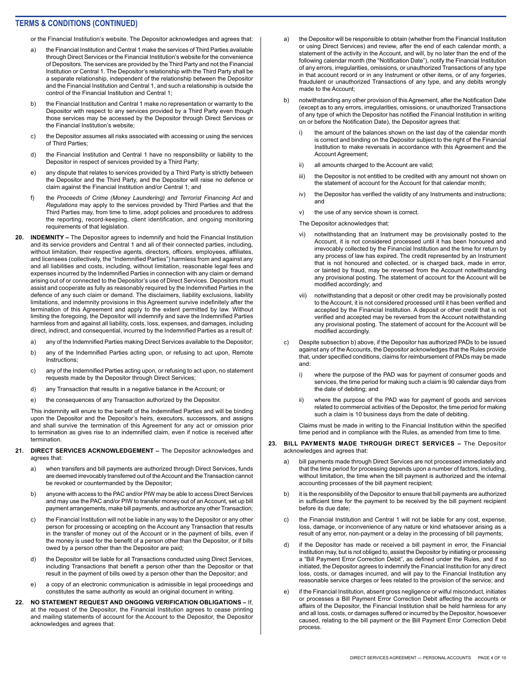or the Financial Institution's website. The Depositor acknowledges and agrees that:

- a) the Financial Institution and Central 1 make the services of Third Parties available through Direct Services or the Financial Institution's website for the convenience of Depositors. The services are provided by the Third Party and not the Financial Institution or Central 1. The Depositor's relationship with the Third Party shall be a separate relationship, independent of the relationship between the Depositor and the Financial Institution and Central 1, and such a relationship is outside the control of the Financial Institution and Central 1;
- b) the Financial Institution and Central 1 make no representation or warranty to the Depositor with respect to any services provided by a Third Party even though those services may be accessed by the Depositor through Direct Services or the Financial Institution's website;
- c) the Depositor assumes all risks associated with accessing or using the services of Third Parties;
- d) the Financial Institution and Central 1 have no responsibility or liability to the Depositor in respect of services provided by a Third Party;
- e) any dispute that relates to services provided by a Third Party is strictly between the Depositor and the Third Party, and the Depositor will raise no defence or claim against the Financial Institution and/or Central 1; and
- f) the *Proceeds of Crime (Money Laundering) and Terrorist Financing Act* and *Regulations* may apply to the services provided by Third Parties and that the Third Parties may, from time to time, adopt policies and procedures to address the reporting, record-keeping, client identification, and ongoing monitoring requirements of that legislation.
- **20. INDEMNITY** The Depositor agrees to indemnify and hold the Financial Institution and its service providers and Central 1 and all of their connected parties, including, without limitation, their respective agents, directors, officers, employees, affiliates, and licensees (collectively, the "Indemnified Parties") harmless from and against any and all liabilities and costs, including, without limitation, reasonable legal fees and expenses incurred by the Indemnified Parties in connection with any claim or demand arising out of or connected to the Depositor's use of Direct Services. Depositors must assist and cooperate as fully as reasonably required by the Indemnified Parties in the defence of any such claim or demand. The disclaimers, liability exclusions, liability limitations, and indemnity provisions in this Agreement survive indefinitely after the termination of this Agreement and apply to the extent permitted by law. Without limiting the foregoing, the Depositor will indemnify and save the Indemnified Parties harmless from and against all liability, costs, loss, expenses, and damages, including direct, indirect, and consequential, incurred by the Indemnified Parties as a result of:
	- a) any of the Indemnified Parties making Direct Services available to the Depositor;
	- b) any of the Indemnified Parties acting upon, or refusing to act upon, Remote Instructions;
	- c) any of the Indemnified Parties acting upon, or refusing to act upon, no statement requests made by the Depositor through Direct Services;
	- d) any Transaction that results in a negative balance in the Account; or
	- e) the consequences of any Transaction authorized by the Depositor.

This indemnity will enure to the benefit of the Indemnified Parties and will be binding upon the Depositor and the Depositor's heirs, executors, successors, and assigns and shall survive the termination of this Agreement for any act or omission prior to termination as gives rise to an indemnified claim, even if notice is received after termination.

#### **21. DIRECT SERVICES ACKNOWLEDGEMENT –** The Depositor acknowledges and agrees that:

- a) when transfers and bill payments are authorized through Direct Services, funds are deemed irrevocably transferred out of the Account and the Transaction cannot be revoked or countermanded by the Depositor;
- b) anyone with access to the PAC and/or PIW may be able to access Direct Services and may use the PAC and/or PIW to transfer money out of an Account, set up bill payment arrangements, make bill payments, and authorize any other Transaction;
- c) the Financial Institution will not be liable in any way to the Depositor or any other person for processing or accepting on the Account any Transaction that results in the transfer of money out of the Account or in the payment of bills, even if the money is used for the benefit of a person other than the Depositor, or if bills owed by a person other than the Depositor are paid;
- d) the Depositor will be liable for all Transactions conducted using Direct Services, including Transactions that benefit a person other than the Depositor or that result in the payment of bills owed by a person other than the Depositor; and
- e) a copy of an electronic communication is admissible in legal proceedings and constitutes the same authority as would an original document in writing.
- **22. NO STATEMENT REQUEST AND ONGOING VERIFICATION OBLIGATIONS** If, at the request of the Depositor, the Financial Institution agrees to cease printing and mailing statements of account for the Account to the Depositor, the Depositor acknowledges and agrees that:
- a) the Depositor will be responsible to obtain (whether from the Financial Institution or using Direct Services) and review, after the end of each calendar month, a statement of the activity in the Account, and will, by no later than the end of the following calendar month (the "Notification Date"), notify the Financial Institution of any errors, irregularities, omissions, or unauthorized Transactions of any type in that account record or in any Instrument or other items, or of any forgeries, fraudulent or unauthorized Transactions of any type, and any debits wrongly made to the Account;
- b) notwithstanding any other provision of this Agreement, after the Notification Date (except as to any errors, irregularities, omissions, or unauthorized Transactions of any type of which the Depositor has notified the Financial Institution in writing on or before the Notification Date), the Depositor agrees that:
	- i) the amount of the balances shown on the last day of the calendar month is correct and binding on the Depositor subject to the right of the Financial Institution to make reversals in accordance with this Agreement and the Account Agreement;
	- ii) all amounts charged to the Account are valid;
	- iii) the Depositor is not entitled to be credited with any amount not shown on the statement of account for the Account for that calendar month;
	- iv) the Depositor has verified the validity of any Instruments and instructions; and
	- v) the use of any service shown is correct.
	- The Depositor acknowledges that:
	- vi) notwithstanding that an Instrument may be provisionally posted to the Account, it is not considered processed until it has been honoured and irrevocably collected by the Financial Institution and the time for return by any process of law has expired. The credit represented by an Instrument that is not honoured and collected, or is charged back, made in error, or tainted by fraud, may be reversed from the Account notwithstanding any provisional posting. The statement of account for the Account will be modified accordingly; and
	- vii) notwithstanding that a deposit or other credit may be provisionally posted to the Account, it is not considered processed until it has been verified and accepted by the Financial Institution. A deposit or other credit that is not verified and accepted may be reversed from the Account notwithstanding any provisional posting. The statement of account for the Account will be modified accordingly.
- c) Despite subsection b) above, if the Depositor has authorized PADs to be issued against any of the Accounts, the Depositor acknowledges that the Rules provide that, under specified conditions, claims for reimbursement of PADs may be made and:
	- i) where the purpose of the PAD was for payment of consumer goods and services, the time period for making such a claim is 90 calendar days from the date of debiting; and
	- ii) where the purpose of the PAD was for payment of goods and services related to commercial activities of the Depositor, the time period for making such a claim is 10 business days from the date of debiting.

Claims must be made in writing to the Financial Institution within the specified time period and in compliance with the Rules, as amended from time to time.

- **23. BILL PAYMENTS MADE THROUGH DIRECT SERVICES** The Depositor acknowledges and agrees that:
	- a) bill payments made through Direct Services are not processed immediately and that the time period for processing depends upon a number of factors, including, without limitation, the time when the bill payment is authorized and the internal accounting processes of the bill payment recipient;
	- b) it is the responsibility of the Depositor to ensure that bill payments are authorized in sufficient time for the payment to be received by the bill payment recipient before its due date;
	- c) the Financial Institution and Central 1 will not be liable for any cost, expense, loss, damage, or inconvenience of any nature or kind whatsoever arising as a result of any error, non-payment or a delay in the processing of bill payments;
	- d) if the Depositor has made or received a bill payment in error, the Financial Institution may, but is not obliged to, assist the Depositor by initiating or processing a "Bill Payment Error Correction Debit", as defined under the Rules, and if so initiated, the Depositor agrees to indemnify the Financial Institution for any direct loss, costs, or damages incurred, and will pay to the Financial Institution any reasonable service charges or fees related to the provision of the service; and
	- e) if the Financial Institution, absent gross negligence or wilful misconduct, initiates or processes a Bill Payment Error Correction Debit affecting the accounts or affairs of the Depositor, the Financial Institution shall be held harmless for any and all loss, costs, or damages suffered or incurred by the Depositor, howsoever caused, relating to the bill payment or the Bill Payment Error Correction Debit process.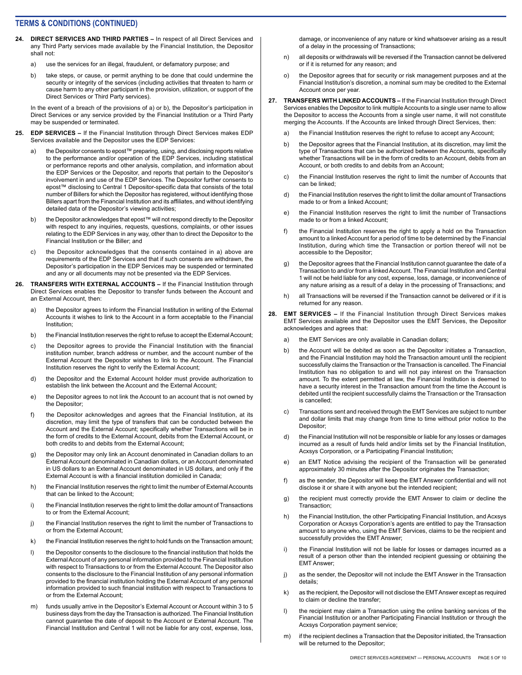- **24. DIRECT SERVICES AND THIRD PARTIES** In respect of all Direct Services and any Third Party services made available by the Financial Institution, the Depositor shall not:
	- a) use the services for an illegal, fraudulent, or defamatory purpose; and
	- b) take steps, or cause, or permit anything to be done that could undermine the security or integrity of the services (including activities that threaten to harm or cause harm to any other participant in the provision, utilization, or support of the Direct Services or Third Party services).

In the event of a breach of the provisions of a) or b), the Depositor's participation in Direct Services or any service provided by the Financial Institution or a Third Party may be suspended or terminated.

- **25. EDP SERVICES** If the Financial Institution through Direct Services makes EDP Services available and the Depositor uses the EDP Services:
	- a) the Depositor consents to epost™ preparing, using, and disclosing reports relative to the performance and/or operation of the EDP Services, including statistical or performance reports and other analysis, compilation, and information about the EDP Services or the Depositor, and reports that pertain to the Depositor's involvement in and use of the EDP Services. The Depositor further consents to epost™ disclosing to Central 1 Depositor-specific data that consists of the total number of Billers for which the Depositor has registered, without identifying those Billers apart from the Financial Institution and its affiliates, and without identifying detailed data of the Depositor's viewing activities;
	- b) the Depositor acknowledges that epost™ will not respond directly to the Depositor with respect to any inquiries, requests, questions, complaints, or other issues relating to the EDP Services in any way, other than to direct the Depositor to the Financial Institution or the Biller; and
	- c) the Depositor acknowledges that the consents contained in a) above are requirements of the EDP Services and that if such consents are withdrawn, the Depositor's participation in the EDP Services may be suspended or terminated and any or all documents may not be presented via the EDP Services.
- **26. TRANSFERS WITH EXTERNAL ACCOUNTS** If the Financial Institution through Direct Services enables the Depositor to transfer funds between the Account and an External Account, then:
	- a) the Depositor agrees to inform the Financial Institution in writing of the External Accounts it wishes to link to the Account in a form acceptable to the Financial Institution;
	- b) the Financial Institution reserves the right to refuse to accept the External Account;
	- c) the Depositor agrees to provide the Financial Institution with the financial institution number, branch address or number, and the account number of the External Account the Depositor wishes to link to the Account. The Financial Institution reserves the right to verify the External Account;
	- d) the Depositor and the External Account holder must provide authorization to establish the link between the Account and the External Account;
	- e) the Depositor agrees to not link the Account to an account that is not owned by the Depositor;
	- f) the Depositor acknowledges and agrees that the Financial Institution, at its discretion, may limit the type of transfers that can be conducted between the Account and the External Account; specifically whether Transactions will be in the form of credits to the External Account, debits from the External Account, or both credits to and debits from the External Account;
	- g) the Depositor may only link an Account denominated in Canadian dollars to an External Account denominated in Canadian dollars, or an Account denominated in US dollars to an External Account denominated in US dollars, and only if the External Account is with a financial institution domiciled in Canada;
	- h) the Financial Institution reserves the right to limit the number of External Accounts that can be linked to the Account;
	- i) the Financial Institution reserves the right to limit the dollar amount of Transactions to or from the External Account;
	- j) the Financial Institution reserves the right to limit the number of Transactions to or from the External Account;
	- k) the Financial Institution reserves the right to hold funds on the Transaction amount;
	- l) the Depositor consents to the disclosure to the financial institution that holds the External Account of any personal information provided to the Financial Institution with respect to Transactions to or from the External Account. The Depositor also consents to the disclosure to the Financial Institution of any personal information provided to the financial institution holding the External Account of any personal information provided to such financial institution with respect to Transactions to or from the External Account;
	- m) funds usually arrive in the Depositor's External Account or Account within 3 to 5 business days from the day the Transaction is authorized. The Financial Institution cannot guarantee the date of deposit to the Account or External Account. The Financial Institution and Central 1 will not be liable for any cost, expense, loss,

damage, or inconvenience of any nature or kind whatsoever arising as a result of a delay in the processing of Transactions;

- n) all deposits or withdrawals will be reversed if the Transaction cannot be delivered or if it is returned for any reason; and
- o) the Depositor agrees that for security or risk management purposes and at the Financial Institution's discretion, a nominal sum may be credited to the External Account once per year.
- **27. TRANSFERS WITH LINKED ACCOUNTS** If the Financial Institution through Direct Services enables the Depositor to link multiple Accounts to a single user name to allow the Depositor to access the Accounts from a single user name, it will not constitute merging the Accounts. If the Accounts are linked through Direct Services, then:
	- a) the Financial Institution reserves the right to refuse to accept any Account;
	- b) the Depositor agrees that the Financial Institution, at its discretion, may limit the type of Transactions that can be authorized between the Accounts, specifically whether Transactions will be in the form of credits to an Account, debits from an Account, or both credits to and debits from an Account;
	- c) the Financial Institution reserves the right to limit the number of Accounts that can be linked;
	- d) the Financial Institution reserves the right to limit the dollar amount of Transactions made to or from a linked Account;
	- e) the Financial Institution reserves the right to limit the number of Transactions made to or from a linked Account;
	- f) the Financial Institution reserves the right to apply a hold on the Transaction amount to a linked Account for a period of time to be determined by the Financial Institution, during which time the Transaction or portion thereof will not be accessible to the Depositor;
	- g) the Depositor agrees that the Financial Institution cannot guarantee the date of a Transaction to and/or from a linked Account. The Financial Institution and Central 1 will not be held liable for any cost, expense, loss, damage, or inconvenience of any nature arising as a result of a delay in the processing of Transactions; and
	- h) all Transactions will be reversed if the Transaction cannot be delivered or if it is returned for any reason.
- **28. EMT SERVICES –** If the Financial Institution through Direct Services makes EMT Services available and the Depositor uses the EMT Services, the Depositor acknowledges and agrees that:
	- a) the EMT Services are only available in Canadian dollars;
	- b) the Account will be debited as soon as the Depositor initiates a Transaction, and the Financial Institution may hold the Transaction amount until the recipient successfully claims the Transaction or the Transaction is cancelled. The Financial Institution has no obligation to and will not pay interest on the Transaction amount. To the extent permitted at law, the Financial Institution is deemed to have a security interest in the Transaction amount from the time the Account is debited until the recipient successfully claims the Transaction or the Transaction is cancelled;
	- c) Transactions sent and received through the EMT Services are subject to number and dollar limits that may change from time to time without prior notice to the Depositor;
	- d) the Financial Institution will not be responsible or liable for any losses or damages incurred as a result of funds held and/or limits set by the Financial Institution, Acxsys Corporation, or a Participating Financial Institution;
	- e) an EMT Notice advising the recipient of the Transaction will be generated approximately 30 minutes after the Depositor originates the Transaction;
	- f) as the sender, the Depositor will keep the EMT Answer confidential and will not disclose it or share it with anyone but the intended recipient;
	- g) the recipient must correctly provide the EMT Answer to claim or decline the Transaction;
	- h) the Financial Institution, the other Participating Financial Institution, and Acxsys Corporation or Acxsys Corporation's agents are entitled to pay the Transaction amount to anyone who, using the EMT Services, claims to be the recipient and successfully provides the EMT Answer;
	- i) the Financial Institution will not be liable for losses or damages incurred as a result of a person other than the intended recipient guessing or obtaining the EMT Answer;
	- j) as the sender, the Depositor will not include the EMT Answer in the Transaction details;
	- k) as the recipient, the Depositor will not disclose the EMT Answer except as required to claim or decline the transfer;
	- l) the recipient may claim a Transaction using the online banking services of the Financial Institution or another Participating Financial Institution or through the Acxsys Corporation payment service;
	- m) if the recipient declines a Transaction that the Depositor initiated, the Transaction will be returned to the Depositor;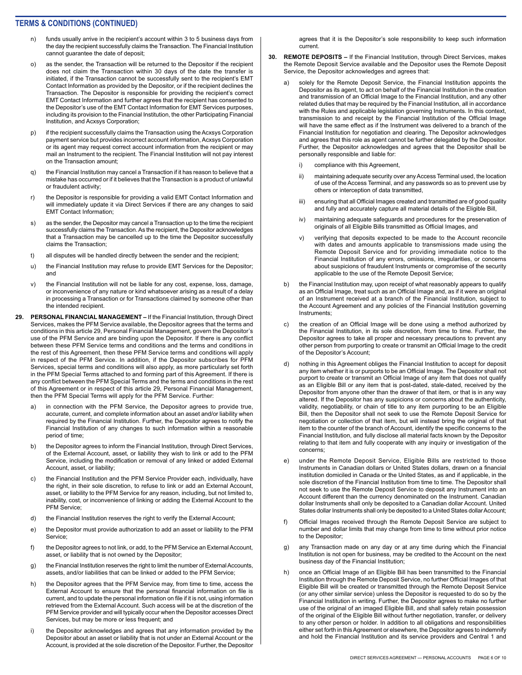- funds usually arrive in the recipient's account within 3 to 5 business days from the day the recipient successfully claims the Transaction. The Financial Institution cannot guarantee the date of deposit;
- o) as the sender, the Transaction will be returned to the Depositor if the recipient does not claim the Transaction within 30 days of the date the transfer is initiated, if the Transaction cannot be successfully sent to the recipient's EMT Contact Information as provided by the Depositor, or if the recipient declines the Transaction. The Depositor is responsible for providing the recipient's correct EMT Contact Information and further agrees that the recipient has consented to the Depositor's use of the EMT Contact Information for EMT Services purposes, including its provision to the Financial Institution, the other Participating Financial Institution, and Acxsys Corporation;
- p) if the recipient successfully claims the Transaction using the Acxsys Corporation payment service but provides incorrect account information, Acxsys Corporation or its agent may request correct account information from the recipient or may mail an Instrument to the recipient. The Financial Institution will not pay interest on the Transaction amount;
- q) the Financial Institution may cancel a Transaction if it has reason to believe that a mistake has occurred or if it believes that the Transaction is a product of unlawful or fraudulent activity;
- r) the Depositor is responsible for providing a valid EMT Contact Information and will immediately update it via Direct Services if there are any changes to said EMT Contact Information;
- s) as the sender, the Depositor may cancel a Transaction up to the time the recipient successfully claims the Transaction. As the recipient, the Depositor acknowledges that a Transaction may be cancelled up to the time the Depositor successfully claims the Transaction;
- t) all disputes will be handled directly between the sender and the recipient;
- u) the Financial Institution may refuse to provide EMT Services for the Depositor; and
- v) the Financial Institution will not be liable for any cost, expense, loss, damage, or inconvenience of any nature or kind whatsoever arising as a result of a delay in processing a Transaction or for Transactions claimed by someone other than the intended recipient.
- **29. PERSONAL FINANCIAL MANAGEMENT** If the Financial Institution, through Direct Services, makes the PFM Service available, the Depositor agrees that the terms and conditions in this article 29, Personal Financial Management, govern the Depositor's use of the PFM Service and are binding upon the Depositor. If there is any conflict between these PFM Service terms and conditions and the terms and conditions in the rest of this Agreement, then these PFM Service terms and conditions will apply in respect of the PFM Service. In addition, if the Depositor subscribes for PFM Services, special terms and conditions will also apply, as more particularly set forth in the PFM Special Terms attached to and forming part of this Agreement. If there is any conflict between the PFM Special Terms and the terms and conditions in the rest of this Agreement or in respect of this article 29, Personal Financial Management, then the PFM Special Terms will apply for the PFM Service. Further:
	- a) in connection with the PFM Service, the Depositor agrees to provide true, accurate, current, and complete information about an asset and/or liability when required by the Financial Institution. Further, the Depositor agrees to notify the Financial Institution of any changes to such information within a reasonable period of time;
	- b) the Depositor agrees to inform the Financial Institution, through Direct Services, of the External Account, asset, or liability they wish to link or add to the PFM Service, including the modification or removal of any linked or added External Account, asset, or liability;
	- c) the Financial Institution and the PFM Service Provider each, individually, have the right, in their sole discretion, to refuse to link or add an External Account, asset, or liability to the PFM Service for any reason, including, but not limited to, inability, cost, or inconvenience of linking or adding the External Account to the PFM Service;
	- d) the Financial Institution reserves the right to verify the External Account;
	- e) the Depositor must provide authorization to add an asset or liability to the PFM Service;
	- f) the Depositor agrees to not link, or add, to the PFM Service an External Account, asset, or liability that is not owned by the Depositor;
	- g) the Financial Institution reserves the right to limit the number of External Accounts, assets, and/or liabilities that can be linked or added to the PFM Service;
	- h) the Depositor agrees that the PFM Service may, from time to time, access the External Account to ensure that the personal financial information on file is current, and to update the personal information on file if it is not, using information retrieved from the External Account. Such access will be at the discretion of the PFM Service provider and will typically occur when the Depositor accesses Direct Services, but may be more or less frequent; and
	- i) the Depositor acknowledges and agrees that any information provided by the Depositor about an asset or liability that is not under an External Account or the Account, is provided at the sole discretion of the Depositor. Further, the Depositor

agrees that it is the Depositor's sole responsibility to keep such information current.

- **30. REMOTE DEPOSITS** If the Financial Institution, through Direct Services, makes the Remote Deposit Service available and the Depositor uses the Remote Deposit Service, the Depositor acknowledges and agrees that:
	- solely for the Remote Deposit Service, the Financial Institution appoints the Depositor as its agent, to act on behalf of the Financial Institution in the creation and transmission of an Official Image to the Financial Institution, and any other related duties that may be required by the Financial Institution, all in accordance with the Rules and applicable legislation governing Instruments. In this context, transmission to and receipt by the Financial Institution of the Official Image will have the same effect as if the Instrument was delivered to a branch of the Financial Institution for negotiation and clearing. The Depositor acknowledges and agrees that this role as agent cannot be further delegated by the Depositor. Further, the Depositor acknowledges and agrees that the Depositor shall be personally responsible and liable for:
		- i) compliance with this Agreement,
		- ii) maintaining adequate security over any Access Terminal used, the location of use of the Access Terminal, and any passwords so as to prevent use by others or interception of data transmitted,
		- iii) ensuring that all Official Images created and transmitted are of good quality and fully and accurately capture all material details of the Eligible Bill,
		- iv) maintaining adequate safeguards and procedures for the preservation of originals of all Eligible Bills transmitted as Official Images, and
		- v) verifying that deposits expected to be made to the Account reconcile with dates and amounts applicable to transmissions made using the Remote Deposit Service and for providing immediate notice to the Financial Institution of any errors, omissions, irregularities, or concerns about suspicions of fraudulent Instruments or compromise of the security applicable to the use of the Remote Deposit Service;
	- b) the Financial Institution may, upon receipt of what reasonably appears to qualify as an Official Image, treat such as an Official Image and, as if it were an original of an Instrument received at a branch of the Financial Institution, subject to the Account Agreement and any policies of the Financial Institution governing Instruments;
	- c) the creation of an Official Image will be done using a method authorized by the Financial Institution, in its sole discretion, from time to time. Further, the Depositor agrees to take all proper and necessary precautions to prevent any other person from purporting to create or transmit an Official Image to the credit of the Depositor's Account;
	- d) nothing in this Agreement obliges the Financial Institution to accept for deposit any item whether it is or purports to be an Official Image. The Depositor shall not purport to create or transmit an Official Image of any item that does not qualify as an Eligible Bill or any item that is post-dated, stale-dated, received by the Depositor from anyone other than the drawer of that item, or that is in any way altered. If the Depositor has any suspicions or concerns about the authenticity, validity, negotiability, or chain of title to any item purporting to be an Eligible Bill, then the Depositor shall not seek to use the Remote Deposit Service for negotiation or collection of that item, but will instead bring the original of that item to the counter of the branch of Account, identify the specific concerns to the Financial Institution, and fully disclose all material facts known by the Depositor relating to that item and fully cooperate with any inquiry or investigation of the concerns;
	- e) under the Remote Deposit Service, Eligible Bills are restricted to those Instruments in Canadian dollars or United States dollars, drawn on a financial institution domiciled in Canada or the United States, as and if applicable, in the sole discretion of the Financial Institution from time to time. The Depositor shall not seek to use the Remote Deposit Service to deposit any Instrument into an Account different than the currency denominated on the Instrument. Canadian dollar Instruments shall only be deposited to a Canadian dollar Account. United States dollar Instruments shall only be deposited to a United States dollar Account;
	- f) Official Images received through the Remote Deposit Service are subject to number and dollar limits that may change from time to time without prior notice to the Depositor;
	- g) any Transaction made on any day or at any time during which the Financial Institution is not open for business, may be credited to the Account on the next business day of the Financial Institution;
	- h) once an Official Image of an Eligible Bill has been transmitted to the Financial Institution through the Remote Deposit Service, no further Official Images of that Eligible Bill will be created or transmitted through the Remote Deposit Service (or any other similar service) unless the Depositor is requested to do so by the Financial Institution in writing. Further, the Depositor agrees to make no further use of the original of an imaged Eligible Bill, and shall safely retain possession of the original of the Eligible Bill without further negotiation, transfer, or delivery to any other person or holder. In addition to all obligations and responsibilities either set forth in this Agreement or elsewhere, the Depositor agrees to indemnify and hold the Financial Institution and its service providers and Central 1 and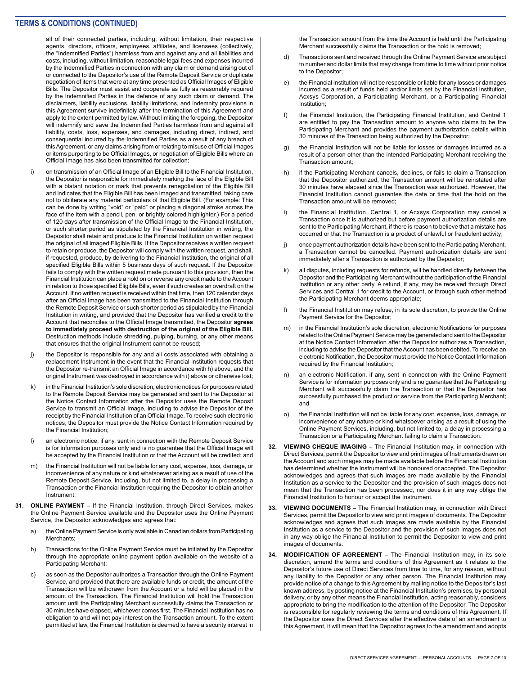all of their connected parties, including, without limitation, their respective agents, directors, officers, employees, affiliates, and licensees (collectively, the "Indemnified Parties") harmless from and against any and all liabilities and costs, including, without limitation, reasonable legal fees and expenses incurred by the Indemnified Parties in connection with any claim or demand arising out of or connected to the Depositor's use of the Remote Deposit Service or duplicate negotiation of items that were at any time presented as Official Images of Eligible Bills. The Depositor must assist and cooperate as fully as reasonably required by the Indemnified Parties in the defence of any such claim or demand. The disclaimers, liability exclusions, liability limitations, and indemnity provisions in this Agreement survive indefinitely after the termination of this Agreement and apply to the extent permitted by law. Without limiting the foregoing, the Depositor will indemnify and save the Indemnified Parties harmless from and against all liability, costs, loss, expenses, and damages, including direct, indirect, and consequential incurred by the Indemnified Parties as a result of any breach of this Agreement, or any claims arising from or relating to misuse of Official Images or items purporting to be Official Images, or negotiation of Eligible Bills where an Official Image has also been transmitted for collection;

- i) on transmission of an Official Image of an Eligible Bill to the Financial Institution, the Depositor is responsible for immediately marking the face of the Eligible Bill with a blatant notation or mark that prevents renegotiation of the Eligible Bill and indicates that the Eligible Bill has been imaged and transmitted, taking care not to obliterate any material particulars of that Eligible Bill. (For example: This can be done by writing "void" or "paid" or placing a diagonal stroke across the face of the item with a pencil, pen, or brightly colored highlighter.) For a period of 120 days after transmission of the Official Image to the Financial Institution, or such shorter period as stipulated by the Financial Institution in writing, the Depositor shall retain and produce to the Financial Institution on written request the original of all imaged Eligible Bills. If the Depositor receives a written request to retain or produce, the Depositor will comply with the written request, and shall, if requested, produce, by delivering to the Financial Institution, the original of all specified Eligible Bills within 5 business days of such request. If the Depositor fails to comply with the written request made pursuant to this provision, then the Financial Institution can place a hold on or reverse any credit made to the Account in relation to those specified Eligible Bills, even if such creates an overdraft on the Account. If no written request is received within that time, then 120 calendar days after an Official Image has been transmitted to the Financial Institution through the Remote Deposit Service or such shorter period as stipulated by the Financial Institution in writing, and provided that the Depositor has verified a credit to the Account that reconciles to the Official Image transmitted, the Depositor **agrees to immediately proceed with destruction of the original of the Eligible Bill.**  Destruction methods include shredding, pulping, burning, or any other means that ensures that the original Instrument cannot be reused;
- j) the Depositor is responsible for any and all costs associated with obtaining a replacement Instrument in the event that the Financial Institution requests that the Depositor re-transmit an Official Image in accordance with h) above, and the original Instrument was destroyed in accordance with i) above or otherwise lost;
- k) in the Financial Institution's sole discretion, electronic notices for purposes related to the Remote Deposit Service may be generated and sent to the Depositor at the Notice Contact Information after the Depositor uses the Remote Deposit Service to transmit an Official Image, including to advise the Depositor of the receipt by the Financial Institution of an Official Image. To receive such electronic notices, the Depositor must provide the Notice Contact Information required by the Financial Institution;
- l) an electronic notice, if any, sent in connection with the Remote Deposit Service is for information purposes only and is no guarantee that the Official Image will be accepted by the Financial Institution or that the Account will be credited; and
- m) the Financial Institution will not be liable for any cost, expense, loss, damage, or inconvenience of any nature or kind whatsoever arising as a result of use of the Remote Deposit Service, including, but not limited to, a delay in processing a Transaction or the Financial Institution requiring the Depositor to obtain another Instrument.
- **31. ONLINE PAYMENT** If the Financial Institution, through Direct Services, makes the Online Payment Service available and the Depositor uses the Online Payment Service, the Depositor acknowledges and agrees that:
	- a) the Online Payment Service is only available in Canadian dollars from Participating Merchants;
	- b) Transactions for the Online Payment Service must be initiated by the Depositor through the appropriate online payment option available on the website of a Participating Merchant;
	- c) as soon as the Depositor authorizes a Transaction through the Online Payment Service, and provided that there are available funds or credit, the amount of the Transaction will be withdrawn from the Account or a hold will be placed in the amount of the Transaction. The Financial Institution will hold the Transaction amount until the Participating Merchant successfully claims the Transaction or 30 minutes have elapsed, whichever comes first. The Financial Institution has no obligation to and will not pay interest on the Transaction amount. To the extent permitted at law, the Financial Institution is deemed to have a security interest in

the Transaction amount from the time the Account is held until the Participating Merchant successfully claims the Transaction or the hold is removed;

- d) Transactions sent and received through the Online Payment Service are subject to number and dollar limits that may change from time to time without prior notice to the Depositor;
- e) the Financial Institution will not be responsible or liable for any losses or damages incurred as a result of funds held and/or limits set by the Financial Institution, Acxsys Corporation, a Participating Merchant, or a Participating Financial Institution;
- f) the Financial Institution, the Participating Financial Institution, and Central 1 are entitled to pay the Transaction amount to anyone who claims to be the Participating Merchant and provides the payment authorization details within 30 minutes of the Transaction being authorized by the Depositor;
- g) the Financial Institution will not be liable for losses or damages incurred as a result of a person other than the intended Participating Merchant receiving the Transaction amount;
- h) if the Participating Merchant cancels, declines, or fails to claim a Transaction that the Depositor authorized, the Transaction amount will be reinstated after 30 minutes have elapsed since the Transaction was authorized. However, the Financial Institution cannot guarantee the date or time that the hold on the Transaction amount will be removed;
- i) the Financial Institution, Central 1, or Acxsys Corporation may cancel a Transaction once it is authorized but before payment authorization details are sent to the Participating Merchant, if there is reason to believe that a mistake has occurred or that the Transaction is a product of unlawful or fraudulent activity;
- j) once payment authorization details have been sent to the Participating Merchant, a Transaction cannot be cancelled. Payment authorization details are sent immediately after a Transaction is authorized by the Depositor;
- k) all disputes, including requests for refunds, will be handled directly between the Depositor and the Participating Merchant without the participation of the Financial Institution or any other party. A refund, if any, may be received through Direct Services and Central 1 for credit to the Account, or through such other method the Participating Merchant deems appropriate;
- l) the Financial Institution may refuse, in its sole discretion, to provide the Online Payment Service for the Depositor;
- in the Financial Institution's sole discretion, electronic Notifications for purposes related to the Online Payment Service may be generated and sent to the Depositor at the Notice Contact Information after the Depositor authorizes a Transaction, including to advise the Depositor that the Account has been debited. To receive an electronic Notification, the Depositor must provide the Notice Contact Information required by the Financial Institution;
- an electronic Notification, if any, sent in connection with the Online Payment Service is for information purposes only and is no guarantee that the Participating Merchant will successfully claim the Transaction or that the Depositor has successfully purchased the product or service from the Participating Merchant; and
- o) the Financial Institution will not be liable for any cost, expense, loss, damage, or inconvenience of any nature or kind whatsoever arising as a result of using the Online Payment Services, including, but not limited to, a delay in processing a Transaction or a Participating Merchant failing to claim a Transaction.
- **32. VIEWING CHEQUE IMAGING** The Financial Institution may, in connection with Direct Services, permit the Depositor to view and print images of Instruments drawn on the Account and such images may be made available before the Financial Institution has determined whether the Instrument will be honoured or accepted. The Depositor acknowledges and agrees that such images are made available by the Financial Institution as a service to the Depositor and the provision of such images does not mean that the Transaction has been processed, nor does it in any way oblige the Financial Institution to honour or accept the Instrument.
- **33. VIEWING DOCUMENTS** The Financial Institution may, in connection with Direct Services, permit the Depositor to view and print images of documents. The Depositor acknowledges and agrees that such images are made available by the Financial Institution as a service to the Depositor and the provision of such images does not in any way oblige the Financial Institution to permit the Depositor to view and print images of documents.
- **34. MODIFICATION OF AGREEMENT** The Financial Institution may, in its sole discretion, amend the terms and conditions of this Agreement as it relates to the Depositor's future use of Direct Services from time to time, for any reason, without any liability to the Depositor or any other person. The Financial Institution may provide notice of a change to this Agreement by mailing notice to the Depositor's last known address, by posting notice at the Financial Institution's premises, by personal delivery, or by any other means the Financial Institution, acting reasonably, considers appropriate to bring the modification to the attention of the Depositor. The Depositor is responsible for regularly reviewing the terms and conditions of this Agreement. If the Depositor uses the Direct Services after the effective date of an amendment to this Agreement, it will mean that the Depositor agrees to the amendment and adopts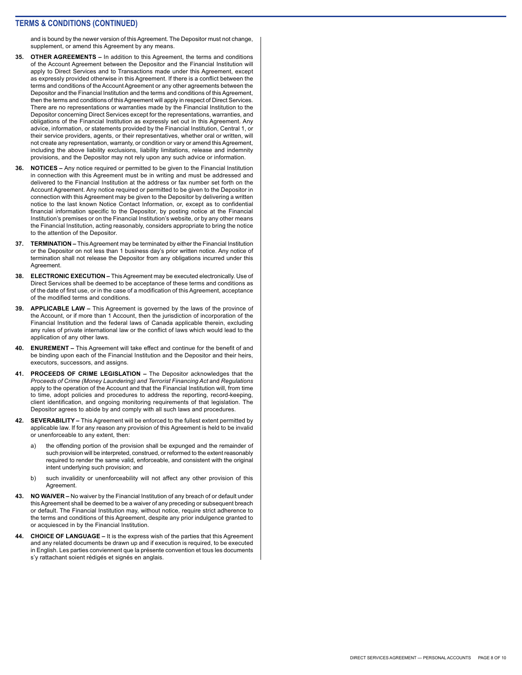and is bound by the newer version of this Agreement. The Depositor must not change, supplement, or amend this Agreement by any means.

- **35. OTHER AGREEMENTS** In addition to this Agreement, the terms and conditions of the Account Agreement between the Depositor and the Financial Institution will apply to Direct Services and to Transactions made under this Agreement, except as expressly provided otherwise in this Agreement. If there is a conflict between the terms and conditions of the Account Agreement or any other agreements between the Depositor and the Financial Institution and the terms and conditions of this Agreement, then the terms and conditions of this Agreement will apply in respect of Direct Services. There are no representations or warranties made by the Financial Institution to the Depositor concerning Direct Services except for the representations, warranties, and obligations of the Financial Institution as expressly set out in this Agreement. Any advice, information, or statements provided by the Financial Institution, Central 1, or their service providers, agents, or their representatives, whether oral or written, will not create any representation, warranty, or condition or vary or amend this Agreement, including the above liability exclusions, liability limitations, release and indemnity provisions, and the Depositor may not rely upon any such advice or information.
- **36. NOTICES** Any notice required or permitted to be given to the Financial Institution in connection with this Agreement must be in writing and must be addressed and delivered to the Financial Institution at the address or fax number set forth on the Account Agreement. Any notice required or permitted to be given to the Depositor in connection with this Agreement may be given to the Depositor by delivering a written notice to the last known Notice Contact Information, or, except as to confidential financial information specific to the Depositor, by posting notice at the Financial Institution's premises or on the Financial Institution's website, or by any other means the Financial Institution, acting reasonably, considers appropriate to bring the notice to the attention of the Depositor.
- **37. TERMINATION** This Agreement may be terminated by either the Financial Institution or the Depositor on not less than 1 business day's prior written notice. Any notice of termination shall not release the Depositor from any obligations incurred under this Agreement.
- **38. ELECTRONIC EXECUTION** This Agreement may be executed electronically. Use of Direct Services shall be deemed to be acceptance of these terms and conditions as of the date of first use, or in the case of a modification of this Agreement, acceptance of the modified terms and conditions.
- **39. APPLICABLE LAW** This Agreement is governed by the laws of the province of the Account, or if more than 1 Account, then the jurisdiction of incorporation of the Financial Institution and the federal laws of Canada applicable therein, excluding any rules of private international law or the conflict of laws which would lead to the application of any other laws.
- **40. ENUREMENT** This Agreement will take effect and continue for the benefit of and be binding upon each of the Financial Institution and the Depositor and their heirs, executors, successors, and assigns.
- **41. PROCEEDS OF CRIME LEGISLATION** The Depositor acknowledges that the *Proceeds of Crime (Money Laundering) and Terrorist Financing Act* and *Regulations*  apply to the operation of the Account and that the Financial Institution will, from time to time, adopt policies and procedures to address the reporting, record-keeping, client identification, and ongoing monitoring requirements of that legislation. The Depositor agrees to abide by and comply with all such laws and procedures.
- **42. SEVERABILITY** This Agreement will be enforced to the fullest extent permitted by applicable law. If for any reason any provision of this Agreement is held to be invalid or unenforceable to any extent, then:
	- a) the offending portion of the provision shall be expunged and the remainder of such provision will be interpreted, construed, or reformed to the extent reasonably required to render the same valid, enforceable, and consistent with the original intent underlying such provision; and
	- b) such invalidity or unenforceability will not affect any other provision of this Agreement.
- **43. NO WAIVER** No waiver by the Financial Institution of any breach of or default under this Agreement shall be deemed to be a waiver of any preceding or subsequent breach or default. The Financial Institution may, without notice, require strict adherence to the terms and conditions of this Agreement, despite any prior indulgence granted to or acquiesced in by the Financial Institution.
- **44. CHOICE OF LANGUAGE** It is the express wish of the parties that this Agreement and any related documents be drawn up and if execution is required, to be executed in English. Les parties conviennent que la présente convention et tous les documents s'y rattachant soient rédigés et signés en anglais.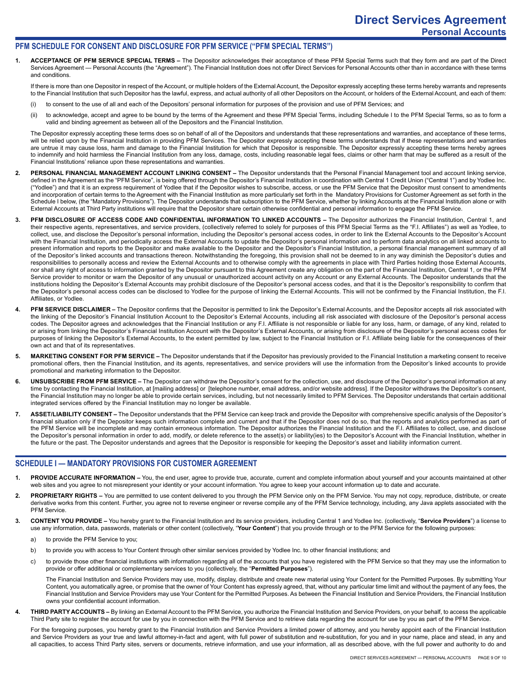### **PFM SCHEDULE FOR CONSENT AND DISCLOSURE FOR PFM SERVICE ("PFM SPECIAL TERMS")**

**1. ACCEPTANCE OF PFM SERVICE SPECIAL TERMS –** The Depositor acknowledges their acceptance of these PFM Special Terms such that they form and are part of the Direct Services Agreement — Personal Accounts (the "Agreement"). The Financial Institution does not offer Direct Services for Personal Accounts other than in accordance with these terms and conditions.

If there is more than one Depositor in respect of the Account, or multiple holders of the External Account, the Depositor expressly accepting these terms hereby warrants and represents to the Financial Institution that such Depositor has the lawful, express, and actual authority of all other Depositors on the Account, or holders of the External Account, and each of them:

- (i) to consent to the use of all and each of the Depositors' personal information for purposes of the provision and use of PFM Services; and
- (ii) to acknowledge, accept and agree to be bound by the terms of the Agreement and these PFM Special Terms, including Schedule I to the PFM Special Terms, so as to form a valid and binding agreement as between all of the Depositors and the Financial Institution.

The Depositor expressly accepting these terms does so on behalf of all of the Depositors and understands that these representations and warranties, and acceptance of these terms, will be relied upon by the Financial Institution in providing PFM Services. The Depositor expressly accepting these terms understands that if these representations and warranties are untrue it may cause loss, harm and damage to the Financial Institution for which that Depositor is responsible. The Depositor expressly accepting these terms hereby agrees to indemnify and hold harmless the Financial Institution from any loss, damage, costs, including reasonable legal fees, claims or other harm that may be suffered as a result of the Financial Institutions' reliance upon these representations and warranties.

- 2. PERSONAL FINANCIAL MANAGEMENT ACCOUNT LINKING CONSENT The Depositor understands that the Personal Financial Management tool and account linking service, defined in the Agreement as the "PFM Service", is being offered through the Depositor's Financial Institution in coordination with Central 1 Credit Union ("Central 1") and by Yodlee Inc. ("Yodlee") and that it is an express requirement of Yodlee that if the Depositor wishes to subscribe, access, or use the PFM Service that the Depositor must consent to amendments and incorporation of certain terms to the Agreement with the Financial Institution as more particularly set forth in the Mandatory Provisions for Customer Agreement as set forth in the Schedule I below, (the "Mandatory Provisions"). The Depositor understands that subscription to the PFM Service, whether by linking Accounts at the Financial Institution alone or with External Accounts at Third Party institutions will require that the Depositor share certain otherwise confidential and personal information to engage the PFM Service.
- **3. PFM DISCLOSURE OF ACCESS CODE AND CONFIDENTIAL INFORMATION TO LINKED ACCOUNTS** The Depositor authorizes the Financial Institution, Central 1, and their respective agents, representatives, and service providers, (collectively referred to solely for purposes of this PFM Special Terms as the "F.I. Affiliates") as well as Yodlee, to collect, use, and disclose the Depositor's personal information, including the Depositor's personal access codes, in order to link the External Accounts to the Depositor's Account with the Financial Institution, and periodically access the External Accounts to update the Depositor's personal information and to perform data analytics on all linked accounts to present information and reports to the Depositor and make available to the Depositor and the Depositor's Financial Institution, a personal financial management summary of all of the Depositor's linked accounts and transactions thereon. Notwithstanding the foregoing, this provision shall not be deemed to in any way diminish the Depositor's duties and responsibilities to personally access and review the External Accounts and to otherwise comply with the agreements in place with Third Parties holding those External Accounts, nor shall any right of access to information granted by the Depositor pursuant to this Agreement create any obligation on the part of the Financial Institution, Central 1, or the PFM Service provider to monitor or warn the Depositor of any unusual or unauthorized account activity on any Account or any External Accounts. The Depositor understands that the institutions holding the Depositor's External Accounts may prohibit disclosure of the Depositor's personal access codes, and that it is the Depositor's responsibility to confirm that the Depositor's personal access codes can be disclosed to Yodlee for the purpose of linking the External Accounts. This will not be confirmed by the Financial Institution, the F.I. Affiliates, or Yodlee.
- 4. **PFM SERVICE DISCLAIMER -** The Depositor confirms that the Depositor is permitted to link the Depositor's External Accounts, and the Depositor accepts all risk associated with the linking of the Depositor's Financial Institution Account to the Depositor's External Accounts, including all risk associated with disclosure of the Depositor's personal access codes. The Depositor agrees and acknowledges that the Financial Institution or any F.I. Affiliate is not responsible or liable for any loss, harm, or damage, of any kind, related to or arising from linking the Depositor's Financial Institution Account with the Depositor's External Accounts, or arising from disclosure of the Depositor's personal access codes for purposes of linking the Depositor's External Accounts, to the extent permitted by law, subject to the Financial Institution or F.I. Affiliate being liable for the consequences of their own act and that of its representatives.
- 5. MARKETING CONSENT FOR PFM SERVICE The Depositor understands that if the Depositor has previously provided to the Financial Institution a marketing consent to receive promotional offers, then the Financial Institution, and its agents, representatives, and service providers will use the information from the Depositor's linked accounts to provide promotional and marketing information to the Depositor.
- **6. UNSUBSCRIBE FROM PFM SERVICE** The Depositor can withdraw the Depositor's consent for the collection, use, and disclosure of the Depositor's personal information at any time by contacting the Financial Institution, at [mailing address] or [telephone number, email address, and/or website address]. If the Depositor withdraws the Depositor's consent, the Financial Institution may no longer be able to provide certain services, including, but not necessarily limited to PFM Services. The Depositor understands that certain additional integrated services offered by the Financial Institution may no longer be available.
- **7. ASSET/LIABILITY CONSENT** The Depositor understands that the PFM Service can keep track and provide the Depositor with comprehensive specific analysis of the Depositor's financial situation only if the Depositor keeps such information complete and current and that if the Depositor does not do so, that the reports and analytics performed as part of the PFM Service will be incomplete and may contain erroneous information. The Depositor authorizes the Financial Institution and the F.I. Affiliates to collect, use, and disclose the Depositor's personal information in order to add, modify, or delete reference to the asset(s) or liability(ies) to the Depositor's Account with the Financial Institution, whether in the future or the past. The Depositor understands and agrees that the Depositor is responsible for keeping the Depositor's asset and liability information current.

### **SCHEDULE I — MANDATORY PROVISIONS FOR CUSTOMER AGREEMENT**

- **1. PROVIDE ACCURATE INFORMATION** You, the end user, agree to provide true, accurate, current and complete information about yourself and your accounts maintained at other web sites and you agree to not misrepresent your identity or your account information. You agree to keep your account information up to date and accurate.
- 2. PROPRIETARY RIGHTS You are permitted to use content delivered to you through the PFM Service only on the PFM Service. You may not copy, reproduce, distribute, or create derivative works from this content. Further, you agree not to reverse engineer or reverse compile any of the PFM Service technology, including, any Java applets associated with the PFM Service.
- **3. CONTENT YOU PROVIDE** You hereby grant to the Financial Institution and its service providers, including Central 1 and Yodlee Inc. (collectively, "**Service Providers**") a license to use any information, data, passwords, materials or other content (collectively, "**Your Content**") that you provide through or to the PFM Service for the following purposes:
	- a) to provide the PFM Service to you;
	- b) to provide you with access to Your Content through other similar services provided by Yodlee Inc. to other financial institutions; and
	- c) to provide those other financial institutions with information regarding all of the accounts that you have registered with the PFM Service so that they may use the information to provide or offer additional or complementary services to you (collectively, the "**Permitted Purposes**").

The Financial Institution and Service Providers may use, modify, display, distribute and create new material using Your Content for the Permitted Purposes. By submitting Your Content, you automatically agree, or promise that the owner of Your Content has expressly agreed, that, without any particular time limit and without the payment of any fees, the Financial Institution and Service Providers may use Your Content for the Permitted Purposes. As between the Financial Institution and Service Providers, the Financial Institution owns your confidential account information.

**4. THIRD PARTY ACCOUNTS –** By linking an External Account to the PFM Service, you authorize the Financial Institution and Service Providers, on your behalf, to access the applicable Third Party site to register the account for use by you in connection with the PFM Service and to retrieve data regarding the account for use by you as part of the PFM Service.

For the foregoing purposes, you hereby grant to the Financial Institution and Service Providers a limited power of attorney, and you hereby appoint each of the Financial Institution and Service Providers as your true and lawful attorney-in-fact and agent, with full power of substitution and re-substitution, for you and in your name, place and stead, in any and all capacities, to access Third Party sites, servers or documents, retrieve information, and use your information, all as described above, with the full power and authority to do and